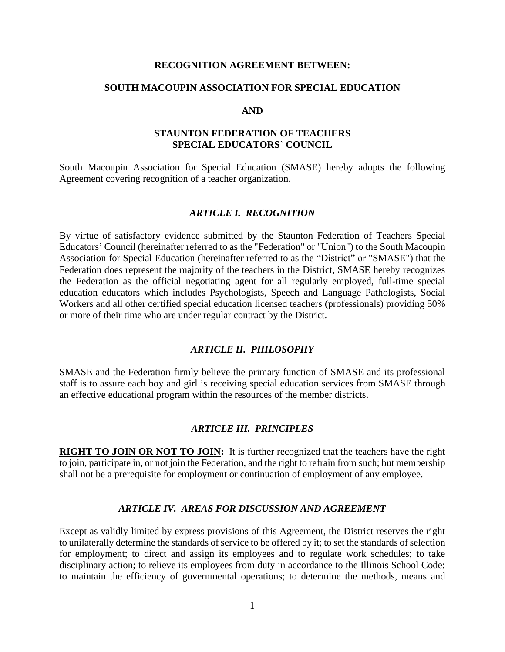#### **RECOGNITION AGREEMENT BETWEEN:**

#### **SOUTH MACOUPIN ASSOCIATION FOR SPECIAL EDUCATION**

#### **AND**

#### **STAUNTON FEDERATION OF TEACHERS SPECIAL EDUCATORS**' **COUNCIL**

South Macoupin Association for Special Education (SMASE) hereby adopts the following Agreement covering recognition of a teacher organization.

#### *ARTICLE I. RECOGNITION*

By virtue of satisfactory evidence submitted by the Staunton Federation of Teachers Special Educators' Council (hereinafter referred to as the "Federation" or "Union") to the South Macoupin Association for Special Education (hereinafter referred to as the "District" or "SMASE") that the Federation does represent the majority of the teachers in the District, SMASE hereby recognizes the Federation as the official negotiating agent for all regularly employed, full-time special education educators which includes Psychologists, Speech and Language Pathologists, Social Workers and all other certified special education licensed teachers (professionals) providing 50% or more of their time who are under regular contract by the District.

#### *ARTICLE II. PHILOSOPHY*

SMASE and the Federation firmly believe the primary function of SMASE and its professional staff is to assure each boy and girl is receiving special education services from SMASE through an effective educational program within the resources of the member districts.

#### *ARTICLE III. PRINCIPLES*

**RIGHT TO JOIN OR NOT TO JOIN:** It is further recognized that the teachers have the right to join, participate in, or not join the Federation, and the right to refrain from such; but membership shall not be a prerequisite for employment or continuation of employment of any employee.

#### *ARTICLE IV. AREAS FOR DISCUSSION AND AGREEMENT*

Except as validly limited by express provisions of this Agreement, the District reserves the right to unilaterally determine the standards of service to be offered by it; to set the standards of selection for employment; to direct and assign its employees and to regulate work schedules; to take disciplinary action; to relieve its employees from duty in accordance to the Illinois School Code; to maintain the efficiency of governmental operations; to determine the methods, means and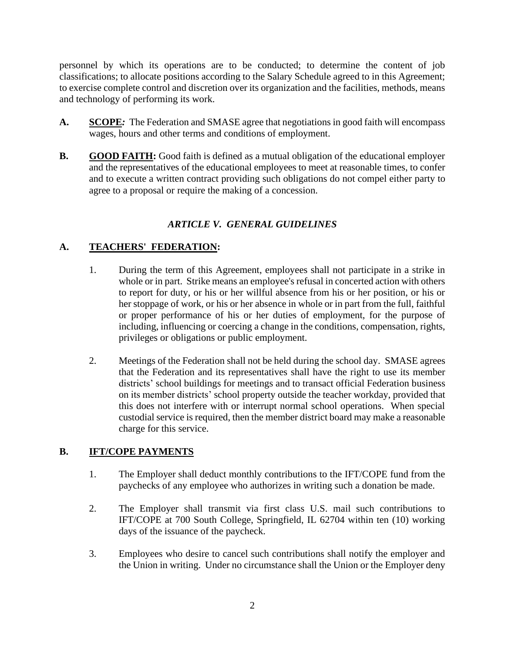personnel by which its operations are to be conducted; to determine the content of job classifications; to allocate positions according to the Salary Schedule agreed to in this Agreement; to exercise complete control and discretion over its organization and the facilities, methods, means and technology of performing its work.

- **A. SCOPE***:* The Federation and SMASE agree that negotiations in good faith will encompass wages, hours and other terms and conditions of employment.
- **B. GOOD FAITH:** Good faith is defined as a mutual obligation of the educational employer and the representatives of the educational employees to meet at reasonable times, to confer and to execute a written contract providing such obligations do not compel either party to agree to a proposal or require the making of a concession.

# *ARTICLE V. GENERAL GUIDELINES*

# **A. TEACHERS' FEDERATION:**

- 1. During the term of this Agreement, employees shall not participate in a strike in whole or in part. Strike means an employee's refusal in concerted action with others to report for duty, or his or her willful absence from his or her position, or his or her stoppage of work, or his or her absence in whole or in part from the full, faithful or proper performance of his or her duties of employment, for the purpose of including, influencing or coercing a change in the conditions, compensation, rights, privileges or obligations or public employment.
- 2. Meetings of the Federation shall not be held during the school day. SMASE agrees that the Federation and its representatives shall have the right to use its member districts' school buildings for meetings and to transact official Federation business on its member districts' school property outside the teacher workday, provided that this does not interfere with or interrupt normal school operations. When special custodial service is required, then the member district board may make a reasonable charge for this service.

## **B. IFT/COPE PAYMENTS**

- 1. The Employer shall deduct monthly contributions to the IFT/COPE fund from the paychecks of any employee who authorizes in writing such a donation be made.
- 2. The Employer shall transmit via first class U.S. mail such contributions to IFT/COPE at 700 South College, Springfield, IL 62704 within ten (10) working days of the issuance of the paycheck.
- 3. Employees who desire to cancel such contributions shall notify the employer and the Union in writing. Under no circumstance shall the Union or the Employer deny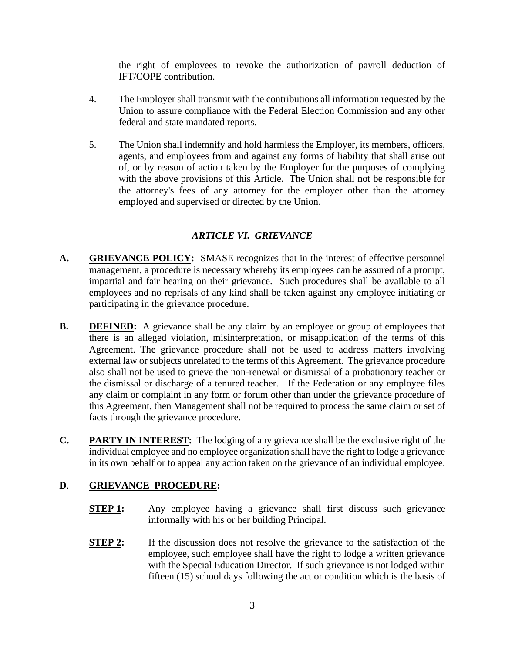the right of employees to revoke the authorization of payroll deduction of IFT/COPE contribution.

- 4. The Employer shall transmit with the contributions all information requested by the Union to assure compliance with the Federal Election Commission and any other federal and state mandated reports.
- 5. The Union shall indemnify and hold harmless the Employer, its members, officers, agents, and employees from and against any forms of liability that shall arise out of, or by reason of action taken by the Employer for the purposes of complying with the above provisions of this Article. The Union shall not be responsible for the attorney's fees of any attorney for the employer other than the attorney employed and supervised or directed by the Union.

# *ARTICLE VI. GRIEVANCE*

- **A. GRIEVANCE POLICY:** SMASE recognizes that in the interest of effective personnel management, a procedure is necessary whereby its employees can be assured of a prompt, impartial and fair hearing on their grievance. Such procedures shall be available to all employees and no reprisals of any kind shall be taken against any employee initiating or participating in the grievance procedure.
- **B. DEFINED:** A grievance shall be any claim by an employee or group of employees that there is an alleged violation, misinterpretation, or misapplication of the terms of this Agreement. The grievance procedure shall not be used to address matters involving external law or subjects unrelated to the terms of this Agreement. The grievance procedure also shall not be used to grieve the non-renewal or dismissal of a probationary teacher or the dismissal or discharge of a tenured teacher. If the Federation or any employee files any claim or complaint in any form or forum other than under the grievance procedure of this Agreement, then Management shall not be required to process the same claim or set of facts through the grievance procedure.
- **C. PARTY IN INTEREST:** The lodging of any grievance shall be the exclusive right of the individual employee and no employee organization shall have the right to lodge a grievance in its own behalf or to appeal any action taken on the grievance of an individual employee.

## **D**. **GRIEVANCE PROCEDURE:**

- **STEP 1:** Any employee having a grievance shall first discuss such grievance informally with his or her building Principal.
- **STEP 2:** If the discussion does not resolve the grievance to the satisfaction of the employee, such employee shall have the right to lodge a written grievance with the Special Education Director. If such grievance is not lodged within fifteen (15) school days following the act or condition which is the basis of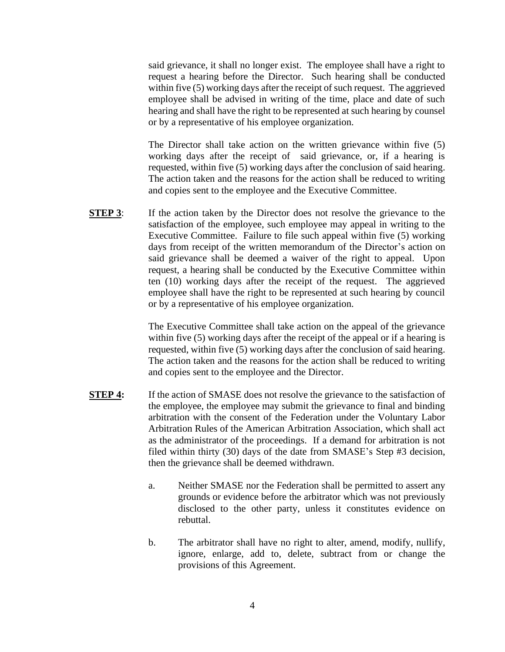said grievance, it shall no longer exist. The employee shall have a right to request a hearing before the Director. Such hearing shall be conducted within five (5) working days after the receipt of such request. The aggrieved employee shall be advised in writing of the time, place and date of such hearing and shall have the right to be represented at such hearing by counsel or by a representative of his employee organization.

The Director shall take action on the written grievance within five (5) working days after the receipt of said grievance, or, if a hearing is requested, within five (5) working days after the conclusion of said hearing. The action taken and the reasons for the action shall be reduced to writing and copies sent to the employee and the Executive Committee.

**STEP 3**: If the action taken by the Director does not resolve the grievance to the satisfaction of the employee, such employee may appeal in writing to the Executive Committee. Failure to file such appeal within five (5) working days from receipt of the written memorandum of the Director's action on said grievance shall be deemed a waiver of the right to appeal. Upon request, a hearing shall be conducted by the Executive Committee within ten (10) working days after the receipt of the request. The aggrieved employee shall have the right to be represented at such hearing by council or by a representative of his employee organization.

> The Executive Committee shall take action on the appeal of the grievance within five (5) working days after the receipt of the appeal or if a hearing is requested, within five (5) working days after the conclusion of said hearing. The action taken and the reasons for the action shall be reduced to writing and copies sent to the employee and the Director.

- **STEP 4:** If the action of SMASE does not resolve the grievance to the satisfaction of the employee, the employee may submit the grievance to final and binding arbitration with the consent of the Federation under the Voluntary Labor Arbitration Rules of the American Arbitration Association, which shall act as the administrator of the proceedings. If a demand for arbitration is not filed within thirty (30) days of the date from SMASE's Step #3 decision, then the grievance shall be deemed withdrawn.
	- a. Neither SMASE nor the Federation shall be permitted to assert any grounds or evidence before the arbitrator which was not previously disclosed to the other party, unless it constitutes evidence on rebuttal.
	- b. The arbitrator shall have no right to alter, amend, modify, nullify, ignore, enlarge, add to, delete, subtract from or change the provisions of this Agreement.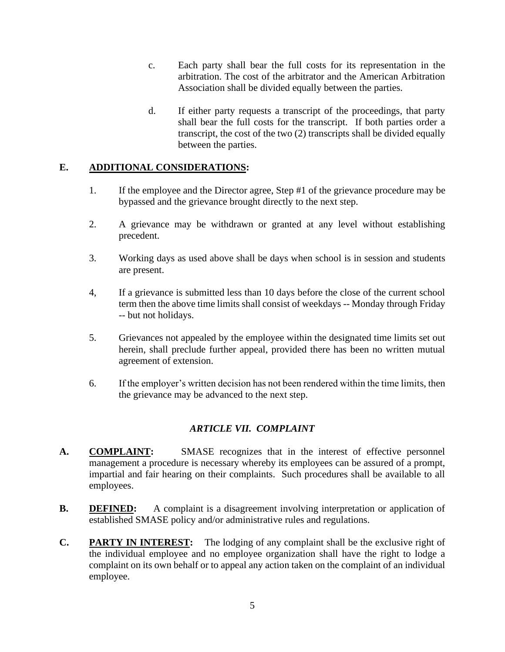- c. Each party shall bear the full costs for its representation in the arbitration. The cost of the arbitrator and the American Arbitration Association shall be divided equally between the parties.
- d. If either party requests a transcript of the proceedings, that party shall bear the full costs for the transcript. If both parties order a transcript, the cost of the two (2) transcripts shall be divided equally between the parties.

## **E. ADDITIONAL CONSIDERATIONS:**

- 1. If the employee and the Director agree, Step #1 of the grievance procedure may be bypassed and the grievance brought directly to the next step.
- 2. A grievance may be withdrawn or granted at any level without establishing precedent.
- 3. Working days as used above shall be days when school is in session and students are present.
- 4, If a grievance is submitted less than 10 days before the close of the current school term then the above time limits shall consist of weekdays -- Monday through Friday -- but not holidays.
- 5. Grievances not appealed by the employee within the designated time limits set out herein, shall preclude further appeal, provided there has been no written mutual agreement of extension.
- 6. If the employer's written decision has not been rendered within the time limits, then the grievance may be advanced to the next step.

## *ARTICLE VII. COMPLAINT*

- **A. COMPLAINT:**SMASE recognizes that in the interest of effective personnel management a procedure is necessary whereby its employees can be assured of a prompt, impartial and fair hearing on their complaints. Such procedures shall be available to all employees.
- **B. DEFINED:**A complaint is a disagreement involving interpretation or application of established SMASE policy and/or administrative rules and regulations.
- **C. PARTY IN INTEREST:** The lodging of any complaint shall be the exclusive right of the individual employee and no employee organization shall have the right to lodge a complaint on its own behalf or to appeal any action taken on the complaint of an individual employee.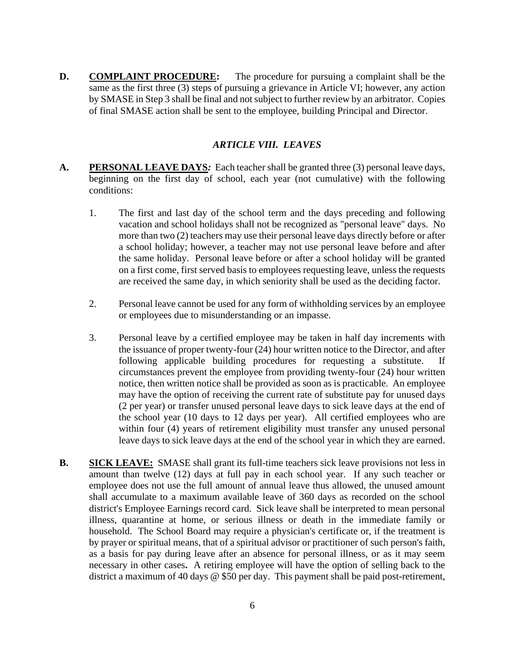**D. COMPLAINT PROCEDURE:**The procedure for pursuing a complaint shall be the same as the first three (3) steps of pursuing a grievance in Article VI; however, any action by SMASE in Step 3 shall be final and not subject to further review by an arbitrator. Copies of final SMASE action shall be sent to the employee, building Principal and Director.

## *ARTICLE VIII. LEAVES*

- **A. PERSONAL LEAVE DAYS***:* Each teacher shall be granted three (3) personal leave days, beginning on the first day of school, each year (not cumulative) with the following conditions:
	- 1. The first and last day of the school term and the days preceding and following vacation and school holidays shall not be recognized as "personal leave" days. No more than two (2) teachers may use their personal leave days directly before or after a school holiday; however, a teacher may not use personal leave before and after the same holiday. Personal leave before or after a school holiday will be granted on a first come, first served basis to employees requesting leave, unless the requests are received the same day, in which seniority shall be used as the deciding factor.
	- 2. Personal leave cannot be used for any form of withholding services by an employee or employees due to misunderstanding or an impasse.
	- 3. Personal leave by a certified employee may be taken in half day increments with the issuance of proper twenty-four (24) hour written notice to the Director, and after following applicable building procedures for requesting a substitute. If circumstances prevent the employee from providing twenty-four (24) hour written notice, then written notice shall be provided as soon as is practicable. An employee may have the option of receiving the current rate of substitute pay for unused days (2 per year) or transfer unused personal leave days to sick leave days at the end of the school year (10 days to 12 days per year). All certified employees who are within four (4) years of retirement eligibility must transfer any unused personal leave days to sick leave days at the end of the school year in which they are earned.
- **B. SICK LEAVE:** SMASE shall grant its full-time teachers sick leave provisions not less in amount than twelve (12) days at full pay in each school year. If any such teacher or employee does not use the full amount of annual leave thus allowed, the unused amount shall accumulate to a maximum available leave of 360 days as recorded on the school district's Employee Earnings record card. Sick leave shall be interpreted to mean personal illness, quarantine at home, or serious illness or death in the immediate family or household. The School Board may require a physician's certificate or, if the treatment is by prayer or spiritual means, that of a spiritual advisor or practitioner of such person's faith, as a basis for pay during leave after an absence for personal illness, or as it may seem necessary in other cases**.** A retiring employee will have the option of selling back to the district a maximum of 40 days @ \$50 per day. This payment shall be paid post-retirement,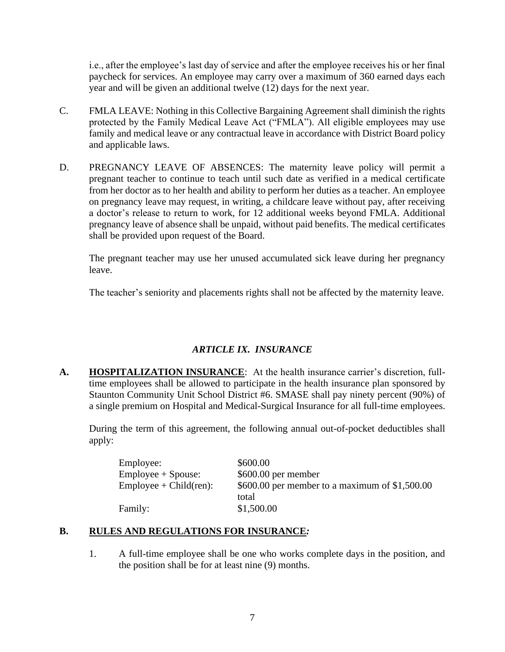i.e., after the employee's last day of service and after the employee receives his or her final paycheck for services. An employee may carry over a maximum of 360 earned days each year and will be given an additional twelve (12) days for the next year.

- C. FMLA LEAVE: Nothing in this Collective Bargaining Agreement shall diminish the rights protected by the Family Medical Leave Act ("FMLA"). All eligible employees may use family and medical leave or any contractual leave in accordance with District Board policy and applicable laws.
- D. PREGNANCY LEAVE OF ABSENCES: The maternity leave policy will permit a pregnant teacher to continue to teach until such date as verified in a medical certificate from her doctor as to her health and ability to perform her duties as a teacher. An employee on pregnancy leave may request, in writing, a childcare leave without pay, after receiving a doctor's release to return to work, for 12 additional weeks beyond FMLA. Additional pregnancy leave of absence shall be unpaid, without paid benefits. The medical certificates shall be provided upon request of the Board.

The pregnant teacher may use her unused accumulated sick leave during her pregnancy leave.

The teacher's seniority and placements rights shall not be affected by the maternity leave.

# *ARTICLE IX. INSURANCE*

**A. HOSPITALIZATION INSURANCE**: At the health insurance carrier's discretion, fulltime employees shall be allowed to participate in the health insurance plan sponsored by Staunton Community Unit School District #6. SMASE shall pay ninety percent (90%) of a single premium on Hospital and Medical-Surgical Insurance for all full-time employees.

During the term of this agreement, the following annual out-of-pocket deductibles shall apply:

| Employee:                 | \$600.00                                        |
|---------------------------|-------------------------------------------------|
| $Employee + Spouse:$      | \$600.00 per member                             |
| $Employee + Child (ren):$ | \$600.00 per member to a maximum of $$1,500.00$ |
|                           | total                                           |
| Family:                   | \$1,500.00                                      |

## **B. RULES AND REGULATIONS FOR INSURANCE***:*

1. A full-time employee shall be one who works complete days in the position, and the position shall be for at least nine (9) months.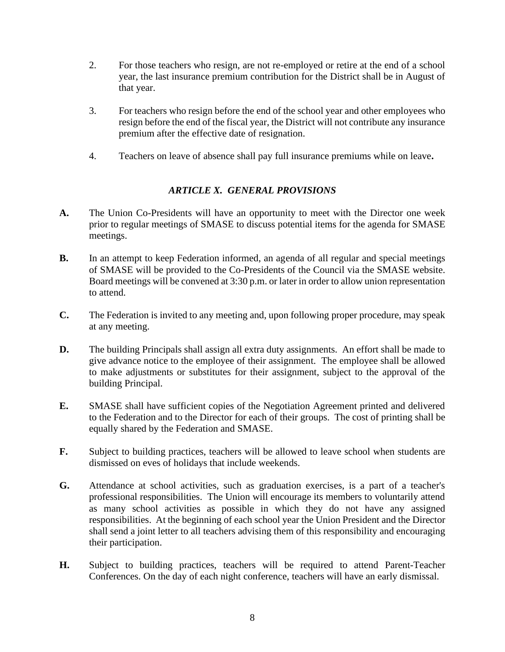- 2. For those teachers who resign, are not re-employed or retire at the end of a school year, the last insurance premium contribution for the District shall be in August of that year.
- 3. For teachers who resign before the end of the school year and other employees who resign before the end of the fiscal year, the District will not contribute any insurance premium after the effective date of resignation.
- 4. Teachers on leave of absence shall pay full insurance premiums while on leave**.**

# *ARTICLE X. GENERAL PROVISIONS*

- **A.** The Union Co-Presidents will have an opportunity to meet with the Director one week prior to regular meetings of SMASE to discuss potential items for the agenda for SMASE meetings.
- **B.** In an attempt to keep Federation informed, an agenda of all regular and special meetings of SMASE will be provided to the Co-Presidents of the Council via the SMASE website. Board meetings will be convened at 3:30 p.m. or later in order to allow union representation to attend.
- **C.** The Federation is invited to any meeting and, upon following proper procedure, may speak at any meeting.
- **D.** The building Principals shall assign all extra duty assignments. An effort shall be made to give advance notice to the employee of their assignment. The employee shall be allowed to make adjustments or substitutes for their assignment, subject to the approval of the building Principal.
- **E.** SMASE shall have sufficient copies of the Negotiation Agreement printed and delivered to the Federation and to the Director for each of their groups. The cost of printing shall be equally shared by the Federation and SMASE.
- **F.** Subject to building practices, teachers will be allowed to leave school when students are dismissed on eves of holidays that include weekends.
- **G.** Attendance at school activities, such as graduation exercises, is a part of a teacher's professional responsibilities. The Union will encourage its members to voluntarily attend as many school activities as possible in which they do not have any assigned responsibilities. At the beginning of each school year the Union President and the Director shall send a joint letter to all teachers advising them of this responsibility and encouraging their participation.
- **H.** Subject to building practices, teachers will be required to attend Parent-Teacher Conferences. On the day of each night conference, teachers will have an early dismissal.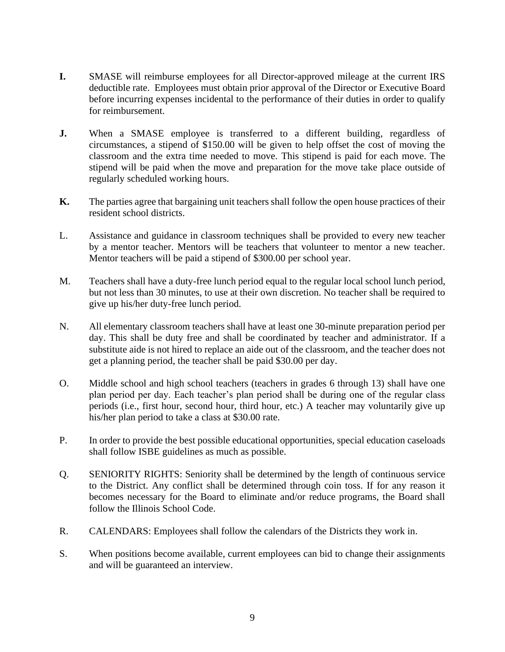- **I.** SMASE will reimburse employees for all Director-approved mileage at the current IRS deductible rate. Employees must obtain prior approval of the Director or Executive Board before incurring expenses incidental to the performance of their duties in order to qualify for reimbursement.
- **J.** When a SMASE employee is transferred to a different building, regardless of circumstances, a stipend of \$150.00 will be given to help offset the cost of moving the classroom and the extra time needed to move. This stipend is paid for each move. The stipend will be paid when the move and preparation for the move take place outside of regularly scheduled working hours.
- **K.** The parties agree that bargaining unit teachers shall follow the open house practices of their resident school districts.
- L. Assistance and guidance in classroom techniques shall be provided to every new teacher by a mentor teacher. Mentors will be teachers that volunteer to mentor a new teacher. Mentor teachers will be paid a stipend of \$300.00 per school year.
- M. Teachers shall have a duty-free lunch period equal to the regular local school lunch period, but not less than 30 minutes, to use at their own discretion. No teacher shall be required to give up his/her duty-free lunch period.
- N. All elementary classroom teachers shall have at least one 30-minute preparation period per day. This shall be duty free and shall be coordinated by teacher and administrator. If a substitute aide is not hired to replace an aide out of the classroom, and the teacher does not get a planning period, the teacher shall be paid \$30.00 per day.
- O. Middle school and high school teachers (teachers in grades 6 through 13) shall have one plan period per day. Each teacher's plan period shall be during one of the regular class periods (i.e., first hour, second hour, third hour, etc.) A teacher may voluntarily give up his/her plan period to take a class at \$30.00 rate.
- P. In order to provide the best possible educational opportunities, special education caseloads shall follow ISBE guidelines as much as possible.
- Q. SENIORITY RIGHTS: Seniority shall be determined by the length of continuous service to the District. Any conflict shall be determined through coin toss. If for any reason it becomes necessary for the Board to eliminate and/or reduce programs, the Board shall follow the Illinois School Code.
- R. CALENDARS: Employees shall follow the calendars of the Districts they work in.
- S. When positions become available, current employees can bid to change their assignments and will be guaranteed an interview.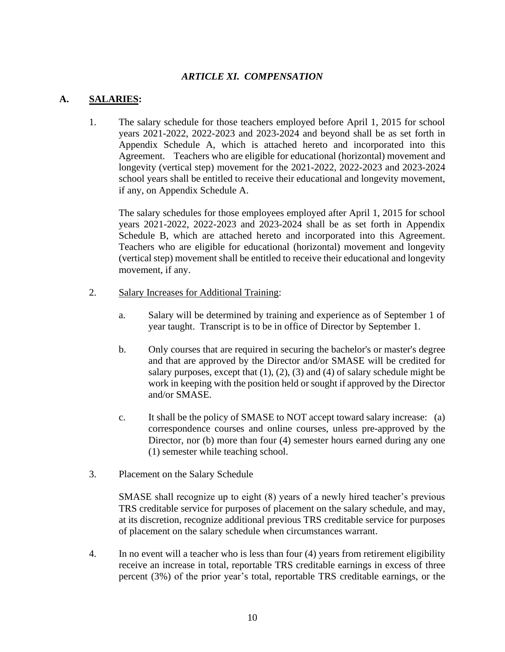## *ARTICLE XI. COMPENSATION*

# **A. SALARIES:**

1. The salary schedule for those teachers employed before April 1, 2015 for school years 2021-2022, 2022-2023 and 2023-2024 and beyond shall be as set forth in Appendix Schedule A, which is attached hereto and incorporated into this Agreement. Teachers who are eligible for educational (horizontal) movement and longevity (vertical step) movement for the 2021-2022, 2022-2023 and 2023-2024 school years shall be entitled to receive their educational and longevity movement, if any, on Appendix Schedule A.

The salary schedules for those employees employed after April 1, 2015 for school years 2021-2022, 2022-2023 and 2023-2024 shall be as set forth in Appendix Schedule B, which are attached hereto and incorporated into this Agreement. Teachers who are eligible for educational (horizontal) movement and longevity (vertical step) movement shall be entitled to receive their educational and longevity movement, if any.

- 2. Salary Increases for Additional Training:
	- a. Salary will be determined by training and experience as of September 1 of year taught. Transcript is to be in office of Director by September 1.
	- b. Only courses that are required in securing the bachelor's or master's degree and that are approved by the Director and/or SMASE will be credited for salary purposes, except that  $(1)$ ,  $(2)$ ,  $(3)$  and  $(4)$  of salary schedule might be work in keeping with the position held or sought if approved by the Director and/or SMASE.
	- c. It shall be the policy of SMASE to NOT accept toward salary increase: (a) correspondence courses and online courses, unless pre-approved by the Director, nor (b) more than four (4) semester hours earned during any one (1) semester while teaching school.
- 3. Placement on the Salary Schedule

SMASE shall recognize up to eight (8) years of a newly hired teacher's previous TRS creditable service for purposes of placement on the salary schedule, and may, at its discretion, recognize additional previous TRS creditable service for purposes of placement on the salary schedule when circumstances warrant.

4. In no event will a teacher who is less than four (4) years from retirement eligibility receive an increase in total, reportable TRS creditable earnings in excess of three percent (3%) of the prior year's total, reportable TRS creditable earnings, or the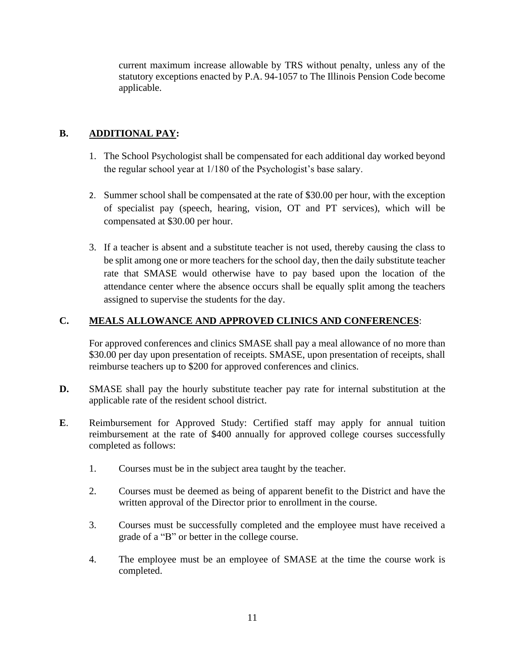current maximum increase allowable by TRS without penalty, unless any of the statutory exceptions enacted by P.A. 94-1057 to The Illinois Pension Code become applicable.

# **B. ADDITIONAL PAY:**

- 1. The School Psychologist shall be compensated for each additional day worked beyond the regular school year at 1/180 of the Psychologist's base salary.
- 2. Summer school shall be compensated at the rate of \$30.00 per hour, with the exception of specialist pay (speech, hearing, vision, OT and PT services), which will be compensated at \$30.00 per hour.
- 3. If a teacher is absent and a substitute teacher is not used, thereby causing the class to be split among one or more teachers for the school day, then the daily substitute teacher rate that SMASE would otherwise have to pay based upon the location of the attendance center where the absence occurs shall be equally split among the teachers assigned to supervise the students for the day.

# **C. MEALS ALLOWANCE AND APPROVED CLINICS AND CONFERENCES**:

For approved conferences and clinics SMASE shall pay a meal allowance of no more than \$30.00 per day upon presentation of receipts. SMASE, upon presentation of receipts, shall reimburse teachers up to \$200 for approved conferences and clinics.

- **D.** SMASE shall pay the hourly substitute teacher pay rate for internal substitution at the applicable rate of the resident school district.
- **E**. Reimbursement for Approved Study: Certified staff may apply for annual tuition reimbursement at the rate of \$400 annually for approved college courses successfully completed as follows:
	- 1. Courses must be in the subject area taught by the teacher.
	- 2. Courses must be deemed as being of apparent benefit to the District and have the written approval of the Director prior to enrollment in the course.
	- 3. Courses must be successfully completed and the employee must have received a grade of a "B" or better in the college course.
	- 4. The employee must be an employee of SMASE at the time the course work is completed.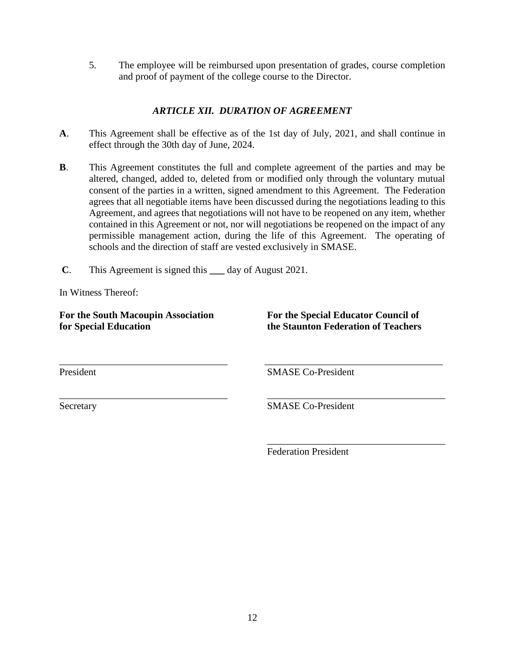5. The employee will be reimbursed upon presentation of grades, course completion and proof of payment of the college course to the Director.

# *ARTICLE XII. DURATION OF AGREEMENT*

- **A**. This Agreement shall be effective as of the 1st day of July, 2021, and shall continue in effect through the 30th day of June, 2024.
- **B**. This Agreement constitutes the full and complete agreement of the parties and may be altered, changed, added to, deleted from or modified only through the voluntary mutual consent of the parties in a written, signed amendment to this Agreement. The Federation agrees that all negotiable items have been discussed during the negotiations leading to this Agreement, and agrees that negotiations will not have to be reopened on any item, whether contained in this Agreement or not, nor will negotiations be reopened on the impact of any permissible management action, during the life of this Agreement. The operating of schools and the direction of staff are vested exclusively in SMASE.

\_\_\_\_\_\_\_\_\_\_\_\_\_\_\_\_\_\_\_\_\_\_\_\_\_\_\_\_\_\_\_\_\_\_ \_\_\_\_\_\_\_\_\_\_\_\_\_\_\_\_\_\_\_\_\_\_\_\_\_\_\_\_\_\_\_\_\_\_\_\_

\_\_\_\_\_\_\_\_\_\_\_\_\_\_\_\_\_\_\_\_\_\_\_\_\_\_\_\_\_\_\_\_\_\_ \_\_\_\_\_\_\_\_\_\_\_\_\_\_\_\_\_\_\_\_\_\_\_\_\_\_\_\_\_\_\_\_\_\_\_\_

**C**. This Agreement is signed this **\_\_\_** day of August 2021.

In Witness Thereof:

For the South Macoupin Association **For the Special Educator Council of for Special Education the Staunton Federation of Teachers**

\_\_\_\_\_\_\_\_\_\_\_\_\_\_\_\_\_\_\_\_\_\_\_\_\_\_\_\_\_\_\_\_\_\_\_\_

President SMASE Co-President

Secretary SMASE Co-President

Federation President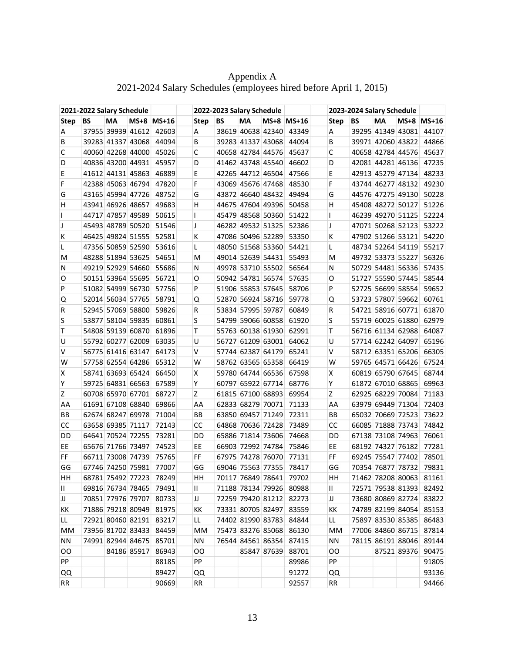|              | 2021-2022 Salary Schedule |                   |             |                         |              |      |    | 2022-2023 Salary Schedule |             |                         |           |    |                   |             |                         |
|--------------|---------------------------|-------------------|-------------|-------------------------|--------------|------|----|---------------------------|-------------|-------------------------|-----------|----|-------------------|-------------|-------------------------|
| <b>Step</b>  | BS                        | МA                |             | $MS+8$ $MS+16$          |              | Step | BS | МA                        |             | $MS+8$ $MS+16$          | Step      | BS | МA                |             | $MS+8$ $MS+16$          |
| Α            |                           |                   |             | 37955 39939 41612 42603 | A            |      |    | 38619 40638 42340         |             | 43349                   | A         |    | 39295 41349 43081 |             | 44107                   |
| В            |                           | 39283 41337 43068 |             | 44094                   | B            |      |    | 39283 41337 43068         |             | 44094                   | B         |    | 39971 42060 43822 |             | 44866                   |
| С            |                           | 40060 42268 44000 |             | 45026                   | C            |      |    |                           |             | 40658 42784 44576 45637 | C         |    |                   |             | 40658 42784 44576 45637 |
| D            |                           | 40836 43200 44931 |             | 45957                   | D            |      |    | 41462 43748 45540         |             | 46602                   | D         |    | 42081 44281 46136 |             | 47235                   |
| E            |                           | 41612 44131 45863 |             | 46889                   | E            |      |    | 42265 44712 46504         |             | 47566                   | E         |    | 42913 45279 47134 |             | 48233                   |
| F            |                           | 42388 45063 46794 |             | 47820                   | F            |      |    | 43069 45676 47468         |             | 48530                   | F         |    | 43744 46277 48132 |             | 49230                   |
| G            |                           | 43165 45994 47726 |             | 48752                   | G            |      |    | 43872 46640 48432         |             | 49494                   | G         |    | 44576 47275 49130 |             | 50228                   |
| H            |                           | 43941 46926 48657 |             | 49683                   | н            |      |    | 44675 47604 49396         |             | 50458                   | н         |    | 45408 48272 50127 |             | 51226                   |
| $\mathbf{I}$ |                           | 44717 47857 49589 |             | 50615                   | $\mathsf{I}$ |      |    | 45479 48568 50360         |             | 51422                   | L         |    | 46239 49270 51125 |             | 52224                   |
| J            |                           | 45493 48789 50520 |             | 51546                   | J            |      |    | 46282 49532 51325         |             | 52386                   | J         |    | 47071 50268 52123 |             | 53222                   |
| к            |                           | 46425 49824 51555 |             | 52581                   | К            |      |    | 47086 50496 52289         |             | 53350                   | К         |    | 47902 51266 53121 |             | 54220                   |
| L            |                           | 47356 50859 52590 |             | 53616                   | L            |      |    | 48050 51568 53360         |             | 54421                   | Г         |    | 48734 52264 54119 |             | 55217                   |
| M            |                           | 48288 51894 53625 |             | 54651                   | М            |      |    | 49014 52639 54431         |             | 55493                   | м         |    | 49732 53373 55227 |             | 56326                   |
| N            |                           | 49219 52929 54660 |             | 55686                   | N            |      |    | 49978 53710 55502         |             | 56564                   | N         |    | 50729 54481 56336 |             | 57435                   |
| O            |                           | 50151 53964 55695 |             | 56721                   | 0            |      |    | 50942 54781 56574         |             | 57635                   | 0         |    | 51727 55590 57445 |             | 58544                   |
| P            |                           | 51082 54999 56730 |             | 57756                   | P            |      |    | 51906 55853 57645         |             | 58706                   | P         |    | 52725 56699 58554 |             | 59652                   |
| Q            |                           | 52014 56034 57765 |             | 58791                   | Q            |      |    | 52870 56924 58716         |             | 59778                   | Q         |    | 53723 57807 59662 |             | 60761                   |
| R            |                           | 52945 57069 58800 |             | 59826                   | R            |      |    | 53834 57995 59787         |             | 60849                   | R         |    | 54721 58916 60771 |             | 61870                   |
| S            |                           | 53877 58104 59835 |             | 60861                   | S            |      |    | 54799 59066 60858         |             | 61920                   | S         |    | 55719 60025 61880 |             | 62979                   |
| т            |                           | 54808 59139 60870 |             | 61896                   | т            |      |    | 55763 60138 61930         |             | 62991                   | т         |    | 56716 61134 62988 |             | 64087                   |
| U            |                           | 55792 60277 62009 |             | 63035                   | U            |      |    | 56727 61209 63001         |             | 64062                   | U         |    | 57714 62242 64097 |             | 65196                   |
| v            |                           | 56775 61416 63147 |             | 64173                   | v            |      |    | 57744 62387 64179         |             | 65241                   | v         |    | 58712 63351 65206 |             | 66305                   |
| W            |                           | 57758 62554 64286 |             | 65312                   | W            |      |    | 58762 63565 65358         |             | 66419                   | W         |    | 59765 64571 66426 |             | 67524                   |
| х            |                           | 58741 63693 65424 |             | 66450                   | X            |      |    | 59780 64744 66536         |             | 67598                   | Χ         |    | 60819 65790 67645 |             | 68744                   |
| Υ            |                           | 59725 64831 66563 |             | 67589                   | Y            |      |    | 60797 65922 67714         |             | 68776                   | Υ         |    | 61872 67010 68865 |             | 69963                   |
| Z            |                           | 60708 65970 67701 |             | 68727                   | Z            |      |    | 61815 67100 68893         |             | 69954                   | Z         |    | 62925 68229 70084 |             | 71183                   |
| AA           |                           | 61691 67108 68840 |             | 69866                   | AA           |      |    | 62833 68279 70071         |             | 71133                   | AA        |    | 63979 69449 71304 |             | 72403                   |
| BВ           |                           | 62674 68247 69978 |             | 71004                   | BB           |      |    | 63850 69457 71249         |             | 72311                   | BB        |    | 65032 70669 72523 |             | 73622                   |
| CC           |                           | 63658 69385 71117 |             | 72143                   | <b>CC</b>    |      |    | 64868 70636 72428         |             | 73489                   | CC        |    | 66085 71888 73743 |             | 74842                   |
| DD           |                           | 64641 70524 72255 |             | 73281                   | DD           |      |    | 65886 71814 73606         |             | 74668                   | DD        |    | 67138 73108 74963 |             | 76061                   |
| EE           |                           | 65676 71766 73497 |             | 74523                   | EE           |      |    | 66903 72992 74784         |             | 75846                   | EE        |    | 68192 74327 76182 |             | 77281                   |
| FF           |                           | 66711 73008 74739 |             | 75765                   | FF           |      |    | 67975 74278 76070         |             | 77131                   | FF        |    | 69245 75547 77402 |             | 78501                   |
| GG           |                           | 67746 74250 75981 |             | 77007                   | GG           |      |    | 69046 75563 77355         |             | 78417                   | GG        |    | 70354 76877 78732 |             | 79831                   |
| HH           |                           |                   |             | 68781 75492 77223 78249 | HH           |      |    |                           |             | 70117 76849 78641 79702 | HН        |    |                   |             | 71462 78208 80063 81161 |
| Ш            |                           | 69816 76734 78465 |             | 79491                   | Ш            |      |    |                           |             | 71188 78134 79926 80988 | Ш         |    |                   |             | 72571 79538 81393 82492 |
| IJ           |                           | 70851 77976 79707 |             | 80733                   | IJ           |      |    |                           |             | 72259 79420 81212 82273 | IJ        |    |                   |             | 73680 80869 82724 83822 |
| KK           |                           | 71886 79218 80949 |             | 81975                   | KK           |      |    | 73331 80705 82497         |             | 83559                   | KK        |    | 74789 82199 84054 |             | 85153                   |
| LL.          |                           | 72921 80460 82191 |             | 83217                   | LL.          |      |    | 74402 81990 83783         |             | 84844                   | LL.       |    | 75897 83530 85385 |             | 86483                   |
| <b>MM</b>    |                           | 73956 81702 83433 |             | 84459                   |              | МM   |    |                           |             | 75473 83276 85068 86130 | MM        |    | 77006 84860 86715 |             | 87814                   |
| ΝN           |                           | 74991 82944 84675 |             | 85701                   | ΝN           |      |    | 76544 84561 86354         |             | 87415                   | <b>NN</b> |    | 78115 86191 88046 |             | 89144                   |
| OO           |                           |                   | 84186 85917 | 86943                   | OO           |      |    |                           | 85847 87639 | 88701                   | OO        |    |                   | 87521 89376 | 90475                   |
| PP           |                           |                   |             | 88185                   | PP           |      |    |                           |             | 89986                   | PP        |    |                   |             | 91805                   |
| QQ           |                           |                   |             | 89427                   |              | QQ   |    |                           |             | 91272                   | QQ        |    |                   |             | 93136                   |
| <b>RR</b>    |                           |                   |             | 90669                   | <b>RR</b>    |      |    |                           |             | 92557                   | <b>RR</b> |    |                   |             | 94466                   |
|              |                           |                   |             |                         |              |      |    |                           |             |                         |           |    |                   |             |                         |

Appendix A 2021-2024 Salary Schedules (employees hired before April 1, 2015)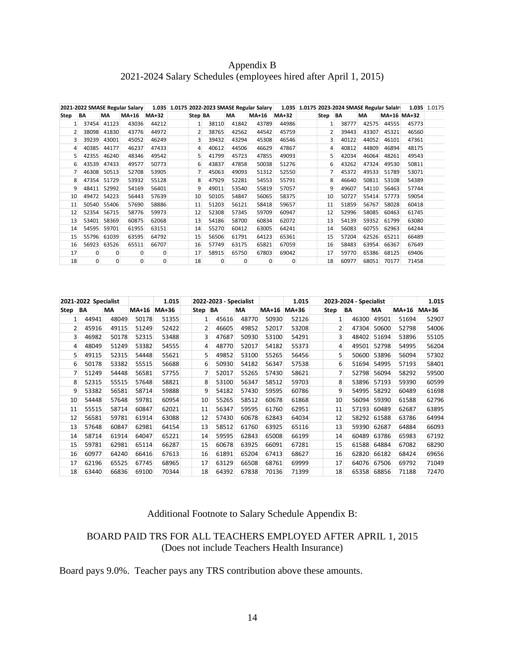# Appendix B 2021-2024 Salary Schedules (employees hired after April 1, 2015)

| 2021-2022 SMASE Regular Salary |          |       |              |              |         |          |           | 1.035 1.0175 2022-2023 SMASE Regular Salary |              |      | 1.035 1.0175 2023-2024 SMASE Regular Salalry |       | 1.035 1.0175 |             |  |
|--------------------------------|----------|-------|--------------|--------------|---------|----------|-----------|---------------------------------------------|--------------|------|----------------------------------------------|-------|--------------|-------------|--|
| Step                           | BA       | МA    | <b>MA+16</b> | <b>MA+32</b> | Step BA |          | <b>MA</b> | <b>MA+16</b>                                | <b>MA+32</b> | Step | <b>BA</b>                                    | MA    |              | MA+16 MA+32 |  |
|                                | 37454    | 41123 | 43036        | 44212        | 1       | 38110    | 41842     | 43789                                       | 44986        |      | 38777                                        | 42575 | 44555        | 45773       |  |
| $\overline{2}$                 | 38098    | 41830 | 43776        | 44972        | 2       | 38765    | 42562     | 44542                                       | 45759        |      | 39443                                        | 43307 | 45321        | 46560       |  |
| 3                              | 39239    | 43001 | 45052        | 46249        | 3       | 39432    | 43294     | 45308                                       | 46546        |      | 40122                                        | 44052 | 46101        | 47361       |  |
| 4                              | 40385    | 44177 | 46237        | 47433        | 4       | 40612    | 44506     | 46629                                       | 47867        |      | 40812                                        | 44809 | 46894        | 48175       |  |
| 5                              | 42355    | 46240 | 48346        | 49542        | 5       | 41799    | 45723     | 47855                                       | 49093        | 5    | 42034                                        | 46064 | 48261        | 49543       |  |
| 6                              | 43539    | 47433 | 49577        | 50773        | 6       | 43837    | 47858     | 50038                                       | 51276        | 6    | 43262                                        | 47324 | 49530        | 50811       |  |
|                                | 46308    | 50513 | 52708        | 53905        |         | 45063    | 49093     | 51312                                       | 52550        |      | 45372                                        | 49533 | 51789        | 53071       |  |
| 8                              | 47354    | 51729 | 53932        | 55128        | 8       | 47929    | 52281     | 54553                                       | 55791        | 8    | 46640                                        | 50811 | 53108        | 54389       |  |
| 9                              | 48411    | 52992 | 54169        | 56401        | 9       | 49011    | 53540     | 55819                                       | 57057        | q    | 49607                                        | 54110 | 56463        | 57744       |  |
| 10                             | 49472    | 54223 | 56443        | 57639        | 10      | 50105    | 54847     | 56065                                       | 58375        | 10   | 50727                                        | 55414 | 57773        | 59054       |  |
| 11                             | 50540    | 55406 | 57690        | 58886        | 11      | 51203    | 56121     | 58418                                       | 59657        | 11   | 51859                                        | 56767 | 58028        | 60418       |  |
| 12                             | 52354    | 56715 | 58776        | 59973        | 12      | 52308    | 57345     | 59709                                       | 60947        | 12   | 52996                                        | 58085 | 60463        | 61745       |  |
| 13                             | 53401    | 58369 | 60875        | 62068        | 13      | 54186    | 58700     | 60834                                       | 62072        | 13   | 54139                                        | 59352 | 61799        | 63080       |  |
| 14                             | 54595    | 59701 | 61955        | 63151        | 14      | 55270    | 60412     | 63005                                       | 64241        | 14   | 56083                                        | 60755 | 62963        | 64244       |  |
| 15                             | 55796    | 61039 | 63595        | 64792        | 15      | 56506    | 61791     | 64123                                       | 65361        | 15   | 57204                                        | 62526 | 65211        | 66489       |  |
| 16                             | 56923    | 63526 | 65511        | 66707        | 16      | 57749    | 63175     | 65821                                       | 67059        | 16   | 58483                                        | 63954 | 66367        | 67649       |  |
| 17                             | $\Omega$ | 0     | $\Omega$     | 0            | 17      | 58915    | 65750     | 67803                                       | 69042        | 17   | 59770                                        | 65386 | 68125        | 69406       |  |
| 18                             | $\Omega$ | 0     | $\mathbf 0$  | $\mathbf 0$  | 18      | $\Omega$ | 0         | 0                                           | $\Omega$     | 18   | 60977                                        | 68051 | 70177        | 71458       |  |

|      | 2021-2022 Specialist |           |              | 1.015 |              | 2022-2023 - Specialist |       |              | 1.015 |              | 2023-2024 - Specialist |       | 1.015        |              |
|------|----------------------|-----------|--------------|-------|--------------|------------------------|-------|--------------|-------|--------------|------------------------|-------|--------------|--------------|
| Step | BA                   | <b>MA</b> | <b>MA+16</b> | MA+36 | Step BA      |                        | MA    | <b>MA+16</b> | MA+36 | Step         | BA                     | MA    | <b>MA+16</b> | <b>MA+36</b> |
| 1    | 44941                | 48049     | 50178        | 51355 | $\mathbf{1}$ | 45616                  | 48770 | 50930        | 52126 | $\mathbf{1}$ | 46300                  | 49501 | 51694        | 52907        |
| 2    | 45916                | 49115     | 51249        | 52422 | 2            | 46605                  | 49852 | 52017        | 53208 | 2            | 47304                  | 50600 | 52798        | 54006        |
| 3    | 46982                | 50178     | 52315        | 53488 | 3            | 47687                  | 50930 | 53100        | 54291 | 3            | 48402                  | 51694 | 53896        | 55105        |
| 4    | 48049                | 51249     | 53382        | 54555 | 4            | 48770                  | 52017 | 54182        | 55373 | 4            | 49501                  | 52798 | 54995        | 56204        |
| 5    | 49115                | 52315     | 54448        | 55621 | 5            | 49852                  | 53100 | 55265        | 56456 | 5            | 50600                  | 53896 | 56094        | 57302        |
| 6    | 50178                | 53382     | 55515        | 56688 | 6            | 50930                  | 54182 | 56347        | 57538 | 6            | 51694                  | 54995 | 57193        | 58401        |
| 7    | 51249                | 54448     | 56581        | 57755 | 7            | 52017                  | 55265 | 57430        | 58621 | 7            | 52798                  | 56094 | 58292        | 59500        |
| 8    | 52315                | 55515     | 57648        | 58821 | 8            | 53100                  | 56347 | 58512        | 59703 | 8            | 53896                  | 57193 | 59390        | 60599        |
| 9    | 53382                | 56581     | 58714        | 59888 | 9            | 54182                  | 57430 | 59595        | 60786 | 9            | 54995                  | 58292 | 60489        | 61698        |
| 10   | 54448                | 57648     | 59781        | 60954 | 10           | 55265                  | 58512 | 60678        | 61868 | 10           | 56094                  | 59390 | 61588        | 62796        |
| 11   | 55515                | 58714     | 60847        | 62021 | 11           | 56347                  | 59595 | 61760        | 62951 | 11           | 57193                  | 60489 | 62687        | 63895        |
| 12   | 56581                | 59781     | 61914        | 63088 | 12           | 57430                  | 60678 | 62843        | 64034 | 12           | 58292                  | 61588 | 63786        | 64994        |
| 13   | 57648                | 60847     | 62981        | 64154 | 13           | 58512                  | 61760 | 63925        | 65116 | 13           | 59390                  | 62687 | 64884        | 66093        |
| 14   | 58714                | 61914     | 64047        | 65221 | 14           | 59595                  | 62843 | 65008        | 66199 | 14           | 60489                  | 63786 | 65983        | 67192        |
| 15   | 59781                | 62981     | 65114        | 66287 | 15           | 60678                  | 63925 | 66091        | 67281 | 15           | 61588                  | 64884 | 67082        | 68290        |
| 16   | 60977                | 64240     | 66416        | 67613 | 16           | 61891                  | 65204 | 67413        | 68627 | 16           | 62820                  | 66182 | 68424        | 69656        |
| 17   | 62196                | 65525     | 67745        | 68965 | 17           | 63129                  | 66508 | 68761        | 69999 | 17           | 64076                  | 67506 | 69792        | 71049        |
| 18   | 63440                | 66836     | 69100        | 70344 | 18           | 64392                  | 67838 | 70136        | 71399 | 18           | 65358                  | 68856 | 71188        | 72470        |

# Additional Footnote to Salary Schedule Appendix B:

# BOARD PAID TRS FOR ALL TEACHERS EMPLOYED AFTER APRIL 1, 2015 (Does not include Teachers Health Insurance)

Board pays 9.0%. Teacher pays any TRS contribution above these amounts.